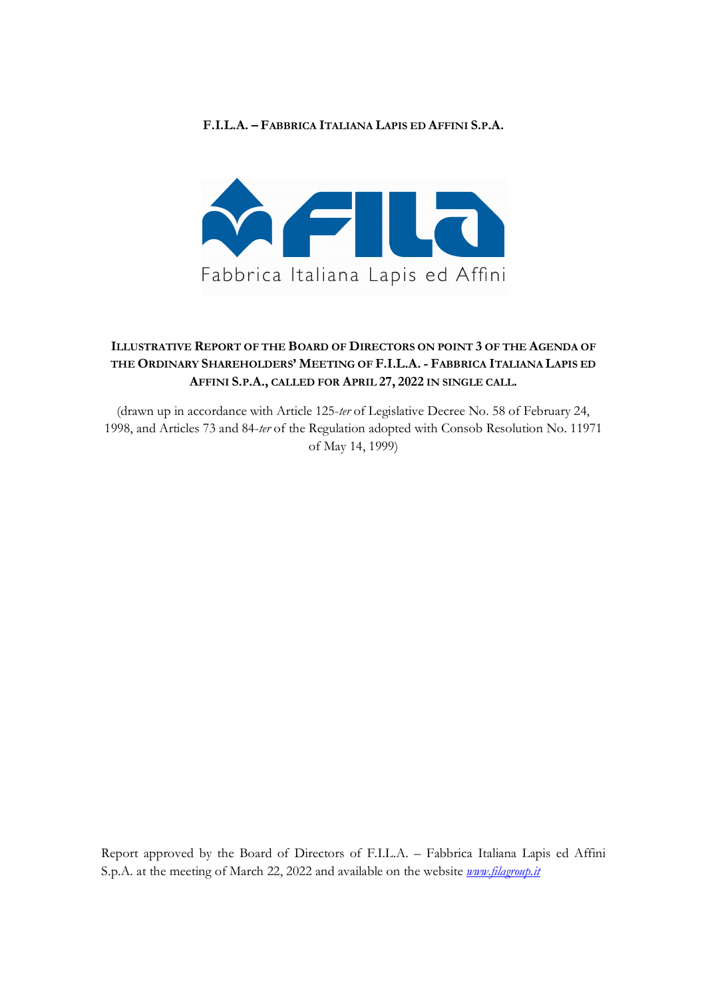#### **F.I.L.A. – FABBRICA ITALIANA LAPIS ED AFFINI S.P.A.**



## **ILLUSTRATIVE REPORT OF THE BOARD OF DIRECTORS ON POINT 3 OF THE AGENDA OF THE ORDINARY SHAREHOLDERS' MEETING OF F.I.L.A. - FABBRICA ITALIANA LAPIS ED AFFINI S.P.A., CALLED FOR APRIL 27, 2022 IN SINGLE CALL.**

(drawn up in accordance with Article 125-*ter* of Legislative Decree No. 58 of February 24, 1998, and Articles 73 and 84-*ter* of the Regulation adopted with Consob Resolution No. 11971 of May 14, 1999)

Report approved by the Board of Directors of F.I.L.A. – Fabbrica Italiana Lapis ed Affini S.p.A. at the meeting of March 22, 2022 and available on the website *www.filagroup.it*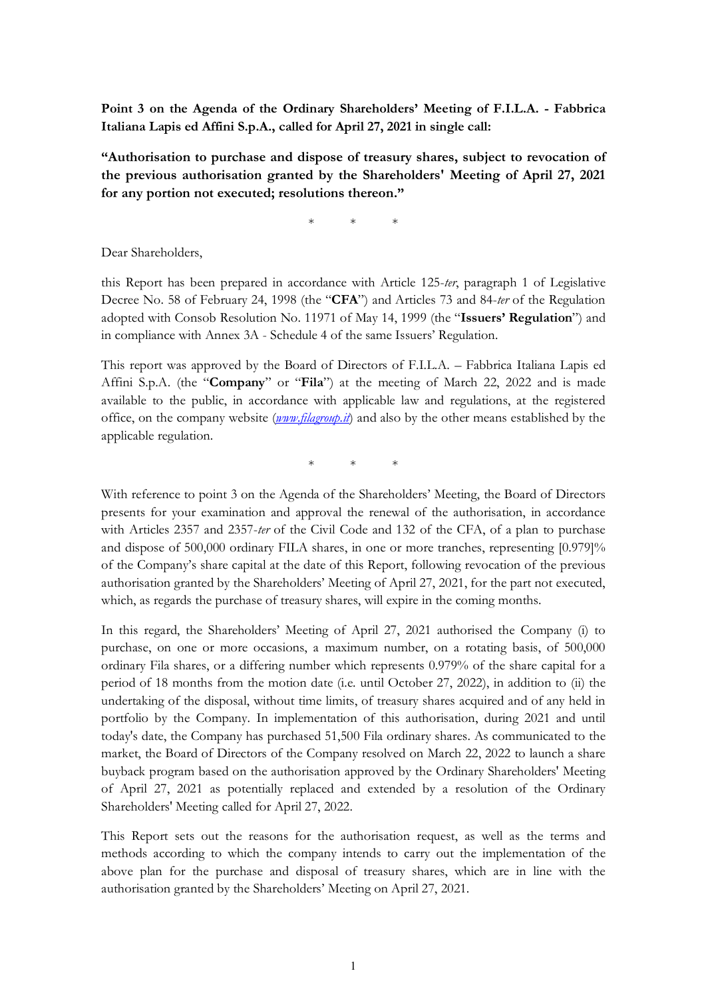**Point 3 on the Agenda of the Ordinary Shareholders' Meeting of F.I.L.A. - Fabbrica Italiana Lapis ed Affini S.p.A., called for April 27, 2021 in single call:**

**"Authorisation to purchase and dispose of treasury shares, subject to revocation of the previous authorisation granted by the Shareholders' Meeting of April 27, 2021 for any portion not executed; resolutions thereon."**

\* \* \*

Dear Shareholders,

this Report has been prepared in accordance with Article 125-*ter*, paragraph 1 of Legislative Decree No. 58 of February 24, 1998 (the "**CFA**") and Articles 73 and 84-*ter* of the Regulation adopted with Consob Resolution No. 11971 of May 14, 1999 (the "**Issuers' Regulation**") and in compliance with Annex 3A - Schedule 4 of the same Issuers' Regulation.

This report was approved by the Board of Directors of F.I.L.A. – Fabbrica Italiana Lapis ed Affini S.p.A. (the "**Company**" or "**Fila**") at the meeting of March 22, 2022 and is made available to the public, in accordance with applicable law and regulations, at the registered office, on the company website (*www.filagroup.it*) and also by the other means established by the applicable regulation.

\* \* \*

With reference to point 3 on the Agenda of the Shareholders' Meeting, the Board of Directors presents for your examination and approval the renewal of the authorisation, in accordance with Articles 2357 and 2357-*ter* of the Civil Code and 132 of the CFA, of a plan to purchase and dispose of 500,000 ordinary FILA shares, in one or more tranches, representing [0.979]% of the Company's share capital at the date of this Report, following revocation of the previous authorisation granted by the Shareholders' Meeting of April 27, 2021, for the part not executed, which, as regards the purchase of treasury shares, will expire in the coming months.

In this regard, the Shareholders' Meeting of April 27, 2021 authorised the Company (i) to purchase, on one or more occasions, a maximum number, on a rotating basis, of 500,000 ordinary Fila shares, or a differing number which represents 0.979% of the share capital for a period of 18 months from the motion date (i.e. until October 27, 2022), in addition to (ii) the undertaking of the disposal, without time limits, of treasury shares acquired and of any held in portfolio by the Company. In implementation of this authorisation, during 2021 and until today's date, the Company has purchased 51,500 Fila ordinary shares. As communicated to the market, the Board of Directors of the Company resolved on March 22, 2022 to launch a share buyback program based on the authorisation approved by the Ordinary Shareholders' Meeting of April 27, 2021 as potentially replaced and extended by a resolution of the Ordinary Shareholders' Meeting called for April 27, 2022.

This Report sets out the reasons for the authorisation request, as well as the terms and methods according to which the company intends to carry out the implementation of the above plan for the purchase and disposal of treasury shares, which are in line with the authorisation granted by the Shareholders' Meeting on April 27, 2021.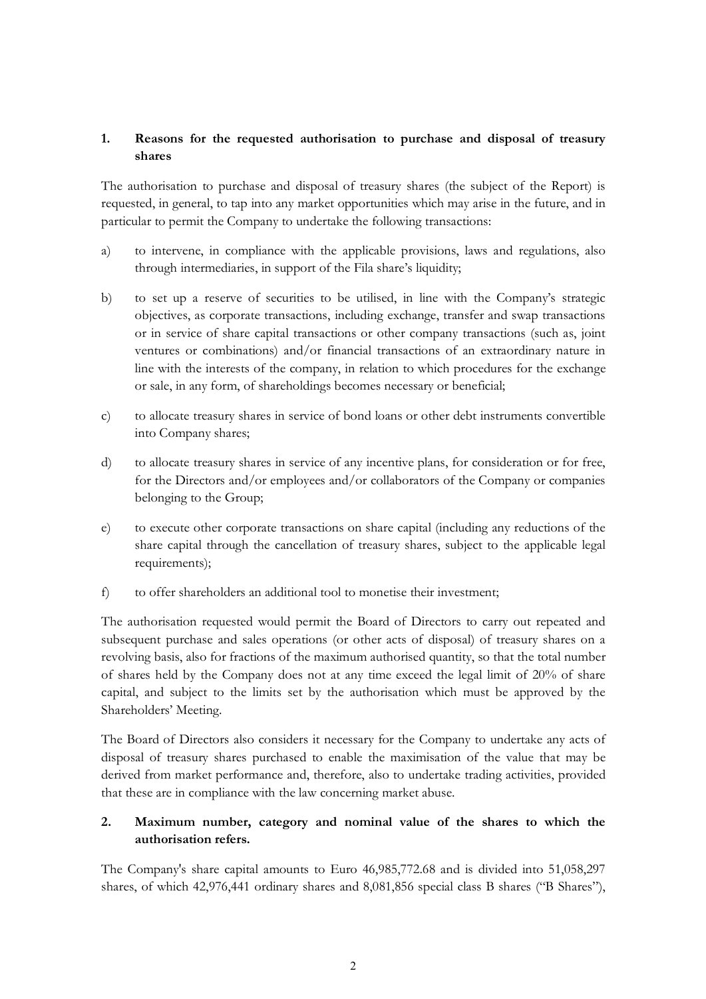### **1. Reasons for the requested authorisation to purchase and disposal of treasury shares**

The authorisation to purchase and disposal of treasury shares (the subject of the Report) is requested, in general, to tap into any market opportunities which may arise in the future, and in particular to permit the Company to undertake the following transactions:

- a) to intervene, in compliance with the applicable provisions, laws and regulations, also through intermediaries, in support of the Fila share's liquidity;
- b) to set up a reserve of securities to be utilised, in line with the Company's strategic objectives, as corporate transactions, including exchange, transfer and swap transactions or in service of share capital transactions or other company transactions (such as, joint ventures or combinations) and/or financial transactions of an extraordinary nature in line with the interests of the company, in relation to which procedures for the exchange or sale, in any form, of shareholdings becomes necessary or beneficial;
- c) to allocate treasury shares in service of bond loans or other debt instruments convertible into Company shares;
- d) to allocate treasury shares in service of any incentive plans, for consideration or for free, for the Directors and/or employees and/or collaborators of the Company or companies belonging to the Group;
- e) to execute other corporate transactions on share capital (including any reductions of the share capital through the cancellation of treasury shares, subject to the applicable legal requirements);
- f) to offer shareholders an additional tool to monetise their investment;

The authorisation requested would permit the Board of Directors to carry out repeated and subsequent purchase and sales operations (or other acts of disposal) of treasury shares on a revolving basis, also for fractions of the maximum authorised quantity, so that the total number of shares held by the Company does not at any time exceed the legal limit of 20% of share capital, and subject to the limits set by the authorisation which must be approved by the Shareholders' Meeting.

The Board of Directors also considers it necessary for the Company to undertake any acts of disposal of treasury shares purchased to enable the maximisation of the value that may be derived from market performance and, therefore, also to undertake trading activities, provided that these are in compliance with the law concerning market abuse.

## **2. Maximum number, category and nominal value of the shares to which the authorisation refers.**

The Company's share capital amounts to Euro 46,985,772.68 and is divided into 51,058,297 shares, of which 42,976,441 ordinary shares and 8,081,856 special class B shares ("B Shares"),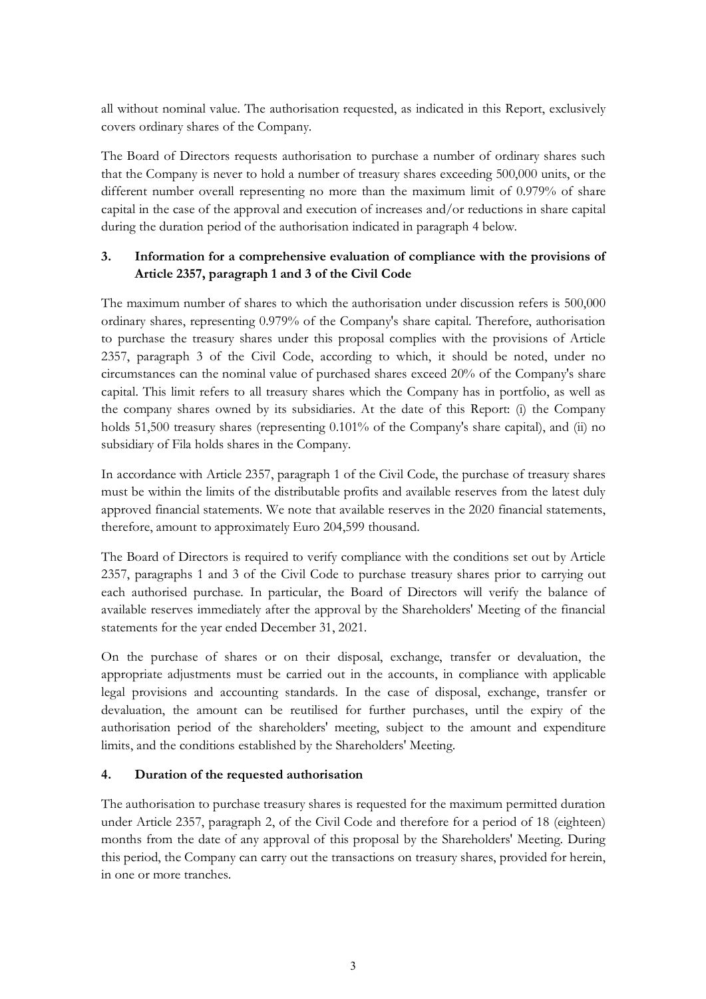all without nominal value. The authorisation requested, as indicated in this Report, exclusively covers ordinary shares of the Company.

The Board of Directors requests authorisation to purchase a number of ordinary shares such that the Company is never to hold a number of treasury shares exceeding 500,000 units, or the different number overall representing no more than the maximum limit of 0.979% of share capital in the case of the approval and execution of increases and/or reductions in share capital during the duration period of the authorisation indicated in paragraph 4 below.

## **3. Information for a comprehensive evaluation of compliance with the provisions of Article 2357, paragraph 1 and 3 of the Civil Code**

The maximum number of shares to which the authorisation under discussion refers is 500,000 ordinary shares, representing 0.979% of the Company's share capital. Therefore, authorisation to purchase the treasury shares under this proposal complies with the provisions of Article 2357, paragraph 3 of the Civil Code, according to which, it should be noted, under no circumstances can the nominal value of purchased shares exceed 20% of the Company's share capital. This limit refers to all treasury shares which the Company has in portfolio, as well as the company shares owned by its subsidiaries. At the date of this Report: (i) the Company holds 51,500 treasury shares (representing 0.101% of the Company's share capital), and (ii) no subsidiary of Fila holds shares in the Company.

In accordance with Article 2357, paragraph 1 of the Civil Code, the purchase of treasury shares must be within the limits of the distributable profits and available reserves from the latest duly approved financial statements. We note that available reserves in the 2020 financial statements, therefore, amount to approximately Euro 204,599 thousand.

The Board of Directors is required to verify compliance with the conditions set out by Article 2357, paragraphs 1 and 3 of the Civil Code to purchase treasury shares prior to carrying out each authorised purchase. In particular, the Board of Directors will verify the balance of available reserves immediately after the approval by the Shareholders' Meeting of the financial statements for the year ended December 31, 2021.

On the purchase of shares or on their disposal, exchange, transfer or devaluation, the appropriate adjustments must be carried out in the accounts, in compliance with applicable legal provisions and accounting standards. In the case of disposal, exchange, transfer or devaluation, the amount can be reutilised for further purchases, until the expiry of the authorisation period of the shareholders' meeting, subject to the amount and expenditure limits, and the conditions established by the Shareholders' Meeting.

### **4. Duration of the requested authorisation**

The authorisation to purchase treasury shares is requested for the maximum permitted duration under Article 2357, paragraph 2, of the Civil Code and therefore for a period of 18 (eighteen) months from the date of any approval of this proposal by the Shareholders' Meeting. During this period, the Company can carry out the transactions on treasury shares, provided for herein, in one or more tranches.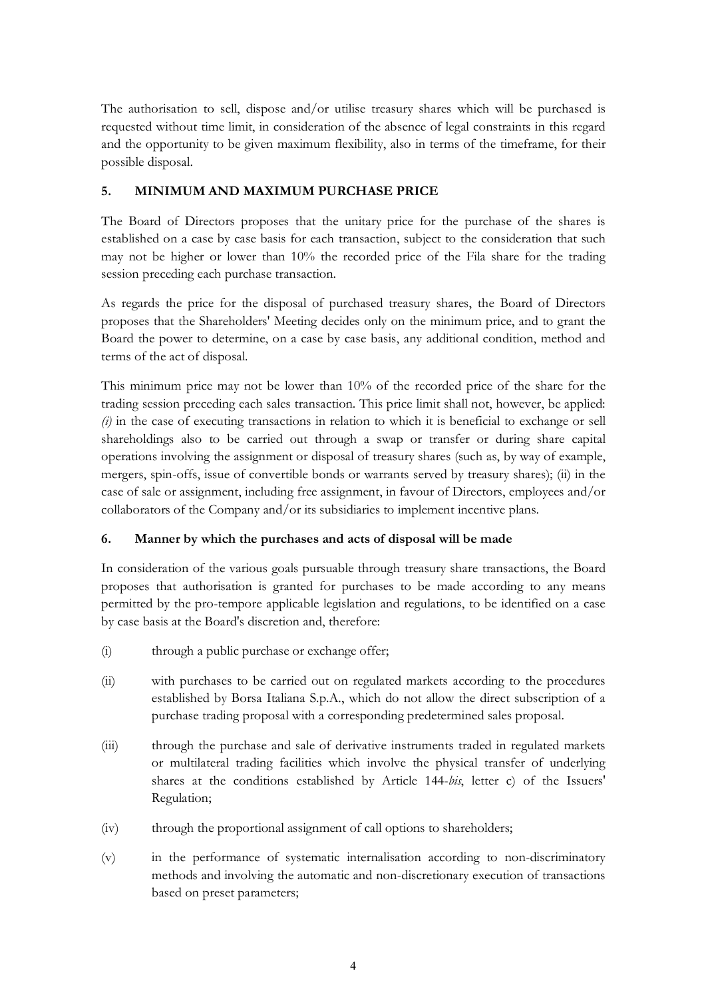The authorisation to sell, dispose and/or utilise treasury shares which will be purchased is requested without time limit, in consideration of the absence of legal constraints in this regard and the opportunity to be given maximum flexibility, also in terms of the timeframe, for their possible disposal.

### **5. MINIMUM AND MAXIMUM PURCHASE PRICE**

The Board of Directors proposes that the unitary price for the purchase of the shares is established on a case by case basis for each transaction, subject to the consideration that such may not be higher or lower than 10% the recorded price of the Fila share for the trading session preceding each purchase transaction.

As regards the price for the disposal of purchased treasury shares, the Board of Directors proposes that the Shareholders' Meeting decides only on the minimum price, and to grant the Board the power to determine, on a case by case basis, any additional condition, method and terms of the act of disposal.

This minimum price may not be lower than 10% of the recorded price of the share for the trading session preceding each sales transaction. This price limit shall not, however, be applied: *(i)* in the case of executing transactions in relation to which it is beneficial to exchange or sell shareholdings also to be carried out through a swap or transfer or during share capital operations involving the assignment or disposal of treasury shares (such as, by way of example, mergers, spin-offs, issue of convertible bonds or warrants served by treasury shares); (ii) in the case of sale or assignment, including free assignment, in favour of Directors, employees and/or collaborators of the Company and/or its subsidiaries to implement incentive plans.

## **6. Manner by which the purchases and acts of disposal will be made**

In consideration of the various goals pursuable through treasury share transactions, the Board proposes that authorisation is granted for purchases to be made according to any means permitted by the pro-tempore applicable legislation and regulations, to be identified on a case by case basis at the Board's discretion and, therefore:

- (i) through a public purchase or exchange offer;
- (ii) with purchases to be carried out on regulated markets according to the procedures established by Borsa Italiana S.p.A., which do not allow the direct subscription of a purchase trading proposal with a corresponding predetermined sales proposal.
- (iii) through the purchase and sale of derivative instruments traded in regulated markets or multilateral trading facilities which involve the physical transfer of underlying shares at the conditions established by Article 144-*bis*, letter c) of the Issuers' Regulation;
- (iv) through the proportional assignment of call options to shareholders;
- (v) in the performance of systematic internalisation according to non-discriminatory methods and involving the automatic and non-discretionary execution of transactions based on preset parameters;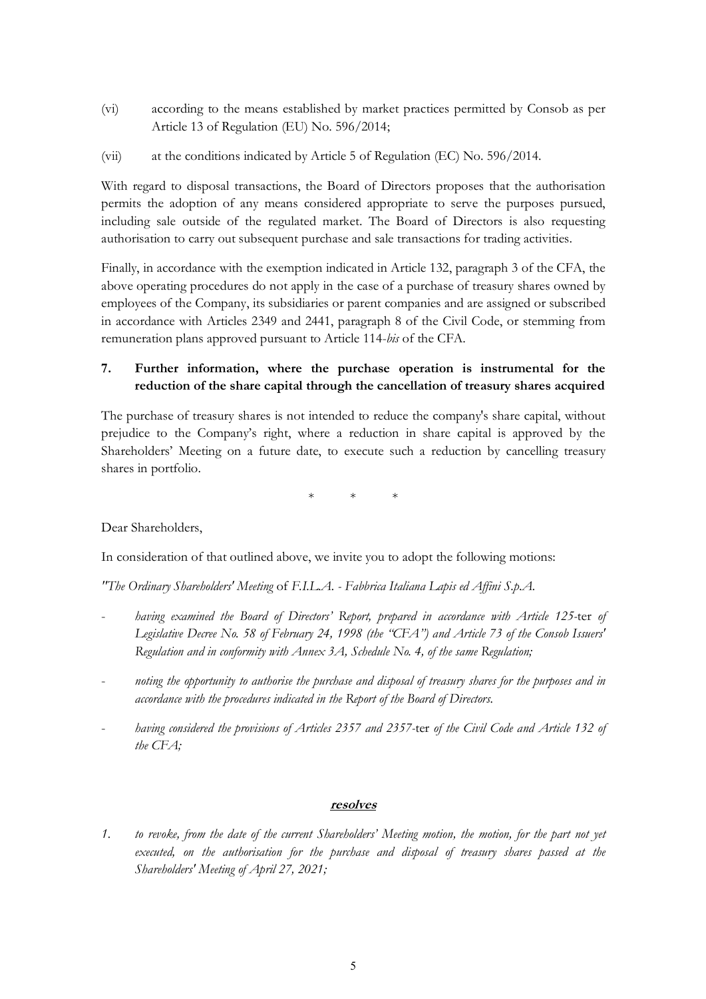- (vi) according to the means established by market practices permitted by Consob as per Article 13 of Regulation (EU) No. 596/2014;
- (vii) at the conditions indicated by Article 5 of Regulation (EC) No. 596/2014.

With regard to disposal transactions, the Board of Directors proposes that the authorisation permits the adoption of any means considered appropriate to serve the purposes pursued, including sale outside of the regulated market. The Board of Directors is also requesting authorisation to carry out subsequent purchase and sale transactions for trading activities.

Finally, in accordance with the exemption indicated in Article 132, paragraph 3 of the CFA, the above operating procedures do not apply in the case of a purchase of treasury shares owned by employees of the Company, its subsidiaries or parent companies and are assigned or subscribed in accordance with Articles 2349 and 2441, paragraph 8 of the Civil Code, or stemming from remuneration plans approved pursuant to Article 114-*bis* of the CFA.

# **7. Further information, where the purchase operation is instrumental for the reduction of the share capital through the cancellation of treasury shares acquired**

The purchase of treasury shares is not intended to reduce the company's share capital, without prejudice to the Company's right, where a reduction in share capital is approved by the Shareholders' Meeting on a future date, to execute such a reduction by cancelling treasury shares in portfolio.

\* \* \*

Dear Shareholders,

In consideration of that outlined above, we invite you to adopt the following motions:

*"The Ordinary Shareholders' Meeting* of *F.I.L.A. - Fabbrica Italiana Lapis ed Affini S.p.A.*

- *having examined the Board of Directors' Report, prepared in accordance with Article 125-*ter *of Legislative Decree No. 58 of February 24, 1998 (the "CFA") and Article 73 of the Consob Issuers' Regulation and in conformity with Annex 3A, Schedule No. 4, of the same Regulation;*
- *noting the opportunity to authorise the purchase and disposal of treasury shares for the purposes and in accordance with the procedures indicated in the Report of the Board of Directors.*
- *having considered the provisions of Articles 2357 and 2357-*ter *of the Civil Code and Article 132 of the CFA;*

### **resolves**

*1. to revoke, from the date of the current Shareholders' Meeting motion, the motion, for the part not yet executed, on the authorisation for the purchase and disposal of treasury shares passed at the Shareholders' Meeting of April 27, 2021;*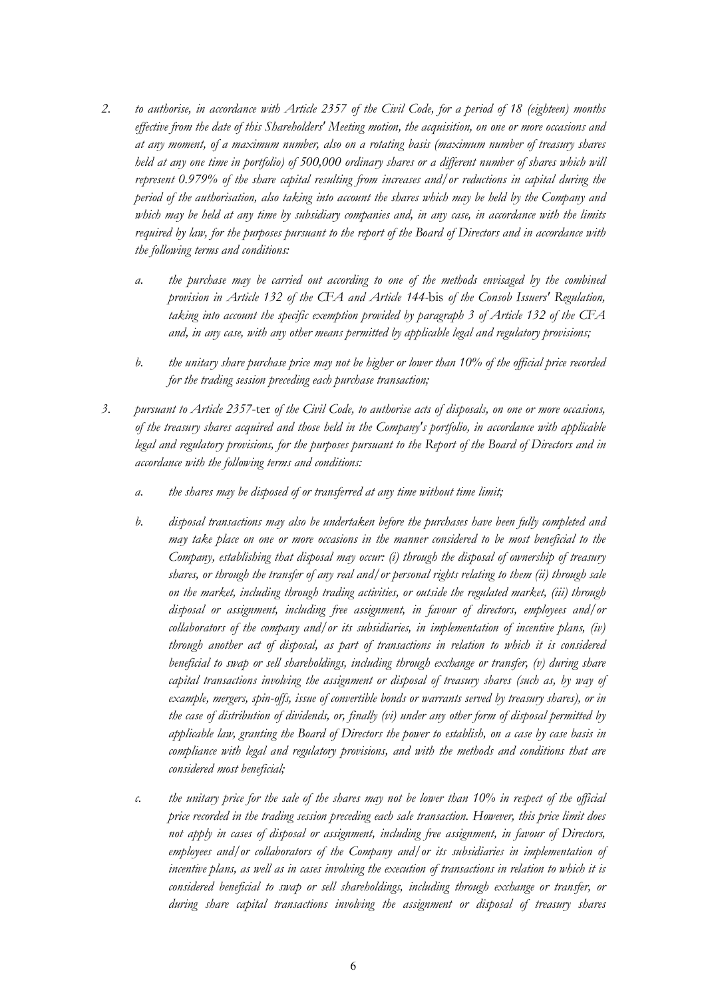- *2. to authorise, in accordance with Article 2357 of the Civil Code, for a period of 18 (eighteen) months effective from the date of this Shareholders' Meeting motion, the acquisition, on one or more occasions and at any moment, of a maximum number, also on a rotating basis (maximum number of treasury shares held at any one time in portfolio) of 500,000 ordinary shares or a different number of shares which will represent 0.979% of the share capital resulting from increases and/or reductions in capital during the period of the authorisation, also taking into account the shares which may be held by the Company and which may be held at any time by subsidiary companies and, in any case, in accordance with the limits required by law, for the purposes pursuant to the report of the Board of Directors and in accordance with the following terms and conditions:*
	- *a. the purchase may be carried out according to one of the methods envisaged by the combined provision in Article 132 of the CFA and Article 144-*bis *of the Consob Issuers' Regulation, taking into account the specific exemption provided by paragraph 3 of Article 132 of the CFA and, in any case, with any other means permitted by applicable legal and regulatory provisions;*
	- *b. the unitary share purchase price may not be higher or lower than 10% of the official price recorded for the trading session preceding each purchase transaction;*
- *3. pursuant to Article 2357*-ter *of the Civil Code, to authorise acts of disposals, on one or more occasions, of the treasury shares acquired and those held in the Company's portfolio, in accordance with applicable legal and regulatory provisions, for the purposes pursuant to the Report of the Board of Directors and in accordance with the following terms and conditions:* 
	- *a. the shares may be disposed of or transferred at any time without time limit;*
	- *b. disposal transactions may also be undertaken before the purchases have been fully completed and may take place on one or more occasions in the manner considered to be most beneficial to the Company, establishing that disposal may occur: (i) through the disposal of ownership of treasury shares, or through the transfer of any real and/or personal rights relating to them (ii) through sale on the market, including through trading activities, or outside the regulated market, (iii) through disposal or assignment, including free assignment, in favour of directors, employees and/or collaborators of the company and/or its subsidiaries, in implementation of incentive plans, (iv) through another act of disposal, as part of transactions in relation to which it is considered beneficial to swap or sell shareholdings, including through exchange or transfer, (v) during share capital transactions involving the assignment or disposal of treasury shares (such as, by way of example, mergers, spin-offs, issue of convertible bonds or warrants served by treasury shares), or in the case of distribution of dividends, or, finally (vi) under any other form of disposal permitted by applicable law, granting the Board of Directors the power to establish, on a case by case basis in compliance with legal and regulatory provisions, and with the methods and conditions that are considered most beneficial;*
	- *c. the unitary price for the sale of the shares may not be lower than 10% in respect of the official price recorded in the trading session preceding each sale transaction. However, this price limit does not apply in cases of disposal or assignment, including free assignment, in favour of Directors, employees and/or collaborators of the Company and/or its subsidiaries in implementation of incentive plans, as well as in cases involving the execution of transactions in relation to which it is considered beneficial to swap or sell shareholdings, including through exchange or transfer, or during share capital transactions involving the assignment or disposal of treasury shares*